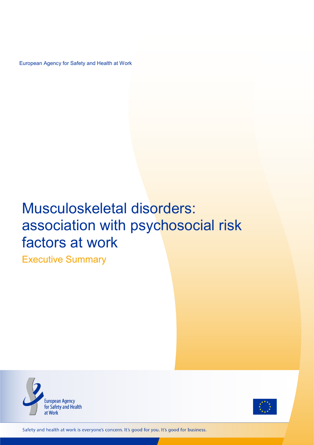European Agency for Safety and Health at Work

# Musculoskeletal disorders: association with psychosocial risk factors at work

Executive Summary





Safety and health at work is everyone's concern. It's good for you. It's good for business.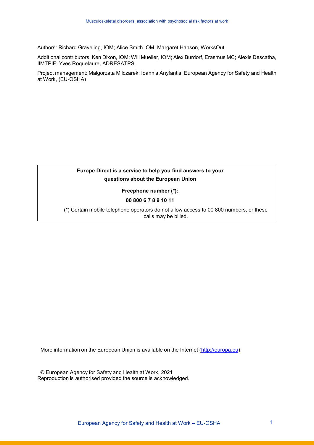Authors: Richard Graveling, IOM; Alice Smith IOM; Margaret Hanson, WorksOut.

Additional contributors: Ken Dixon, IOM; Will Mueller, IOM; Alex Burdorf, Erasmus MC; Alexis Descatha, IIMTPIF; Yves Roquelaure, ADRESATPS.

Project management: Malgorzata Milczarek, Ioannis Anyfantis, European Agency for Safety and Health at Work, (EU-OSHA)

## **Europe Direct is a service to help you find answers to your questions about the European Union**

**Freephone number (\*):**

**00 800 6 7 8 9 10 11**

(\*) Certain mobile telephone operators do not allow access to 00 800 numbers, or these calls may be billed.

More information on the European Union is available on the Internet [\(http://europa.eu\)](http://europa.eu/).

© European Agency for Safety and Health at Work, 2021 Reproduction is authorised provided the source is acknowledged.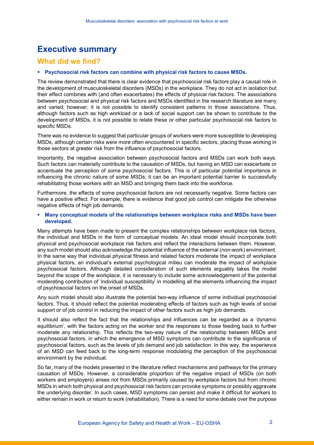## **Executive summary**

## **What did we find?**

#### **Psychosocial risk factors can combine with physical risk factors to cause MSDs.**

The review demonstrated that there is clear evidence that psychosocial risk factors play a causal role in the development of musculoskeletal disorders (MSDs) in the workplace. They do not act in isolation but their effect combines with (and often exacerbates) the effects of physical risk factors. The associations between psychosocial and physical risk factors and MSDs identified in the research literature are many and varied; however, it is not possible to identify consistent patterns in those associations. Thus, although factors such as high workload or a lack of social support can be shown to contribute to the development of MSDs, it is not possible to relate these or other particular psychosocial risk factors to specific MSDs.

There was no evidence to suggest that particular groups of workers were more susceptible to developing MSDs, although certain risks were more often encountered in specific sectors, placing those working in those sectors at greater risk from the influence of psychosocial factors.

Importantly, the negative association between psychosocial factors and MSDs can work both ways. Such factors can materially contribute to the causation of MSDs, but having an MSD can exacerbate or accentuate the perception of some psychosocial factors. This is of particular potential importance in influencing the chronic nature of some MSDs; it can be an important potential barrier to successfully rehabilitating those workers with an MSD and bringing them back into the workforce.

Furthermore, the effects of some psychosocial factors are not necessarily negative. Some factors can have a positive effect. For example, there is evidence that good job control can mitigate the otherwise negative effects of high job demands.

#### **Many conceptual models of the relationships between workplace risks and MSDs have been developed.**

Many attempts have been made to present the complex relationships between workplace risk factors, the individual and MSDs in the form of conceptual models. An ideal model should incorporate both physical and psychosocial workplace risk factors and reflect the interactions between them. However, any such model should also acknowledge the potential influence of the external (non-work) environment. In the same way that individual physical fitness and related factors moderate the impact of workplace physical factors, an individual's external psychological milieu can moderate the impact of workplace psychosocial factors. Although detailed consideration of such elements arguably takes the model beyond the scope of the workplace, it is necessary to include some acknowledgement of the potential moderating contribution of 'individual susceptibility' in modelling all the elements influencing the impact of psychosocial factors on the onset of MSDs.

Any such model should also illustrate the potential two-way influence of some individual psychosocial factors. Thus, it should reflect the potential moderating effects of factors such as high levels of social support or of job control in reducing the impact of other factors such as high job demands.

It should also reflect the fact that the relationships and influences can be regarded as a 'dynamic equilibrium', with the factors acting on the worker and the responses to those feeding back to further moderate any relationship. This reflects the two-way nature of the relationship between MSDs and psychosocial factors, in which the emergence of MSD symptoms can contribute to the significance of psychosocial factors, such as the levels of job demand and job satisfaction. In this way, the experience of an MSD can feed back to the long-term response modulating the perception of the psychosocial environment by the individual.

So far, many of the models presented in the literature reflect mechanisms and pathways for the primary causation of MSDs. However, a considerable proportion of the negative impact of MSDs (on both workers and employers) arises not from MSDs primarily caused by workplace factors but from chronic MSDs in which both physical and psychosocial risk factors can provoke symptoms or possibly aggravate the underlying disorder. In such cases, MSD symptoms can persist and make it difficult for workers to either remain in work or return to work (rehabilitation). There is a need for some debate over the purpose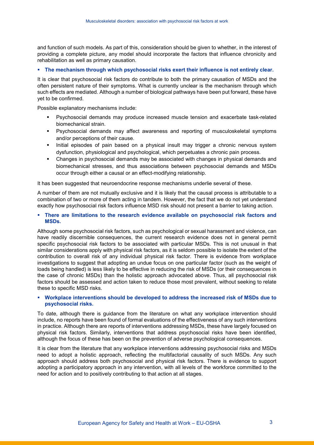and function of such models. As part of this, consideration should be given to whether, in the interest of providing a complete picture, any model should incorporate the factors that influence chronicity and rehabilitation as well as primary causation.

#### **The mechanism through which psychosocial risks exert their influence is not entirely clear.**

It is clear that psychosocial risk factors do contribute to both the primary causation of MSDs and the often persistent nature of their symptoms. What is currently unclear is the mechanism through which such effects are mediated. Although a number of biological pathways have been put forward, these have yet to be confirmed.

Possible explanatory mechanisms include:

- Psychosocial demands may produce increased muscle tension and exacerbate task-related biomechanical strain.
- Psychosocial demands may affect awareness and reporting of musculoskeletal symptoms and/or perceptions of their cause.
- Initial episodes of pain based on a physical insult may trigger a chronic nervous system dysfunction, physiological and psychological, which perpetuates a chronic pain process.
- Changes in psychosocial demands may be associated with changes in physical demands and biomechanical stresses, and thus associations between psychosocial demands and MSDs occur through either a causal or an effect-modifying relationship.

It has been suggested that neuroendocrine response mechanisms underlie several of these.

A number of them are not mutually exclusive and it is likely that the causal process is attributable to a combination of two or more of them acting in tandem. However, the fact that we do not yet understand exactly how psychosocial risk factors influence MSD risk should not present a barrier to taking action.

 **There are limitations to the research evidence available on psychosocial risk factors and MSDs.**

Although some psychosocial risk factors, such as psychological or sexual harassment and violence, can have readily discernible consequences, the current research evidence does not in general permit specific psychosocial risk factors to be associated with particular MSDs. This is not unusual in that similar considerations apply with physical risk factors, as it is seldom possible to isolate the extent of the contribution to overall risk of any individual physical risk factor. There is evidence from workplace investigations to suggest that adopting an undue focus on one particular factor (such as the weight of loads being handled) is less likely to be effective in reducing the risk of MSDs (or their consequences in the case of chronic MSDs) than the holistic approach advocated above. Thus, all psychosocial risk factors should be assessed and action taken to reduce those most prevalent, without seeking to relate these to specific MSD risks.

#### **Workplace interventions should be developed to address the increased risk of MSDs due to psychosocial risks.**

To date, although there is guidance from the literature on what any workplace intervention should include, no reports have been found of formal evaluations of the effectiveness of any such interventions in practice. Although there are reports of interventions addressing MSDs, these have largely focused on physical risk factors. Similarly, interventions that address psychosocial risks have been identified, although the focus of these has been on the prevention of adverse psychological consequences.

It is clear from the literature that any workplace interventions addressing psychosocial risks and MSDs need to adopt a holistic approach, reflecting the multifactorial causality of such MSDs. Any such approach should address both psychosocial and physical risk factors. There is evidence to support adopting a participatory approach in any intervention, with all levels of the workforce committed to the need for action and to positively contributing to that action at all stages.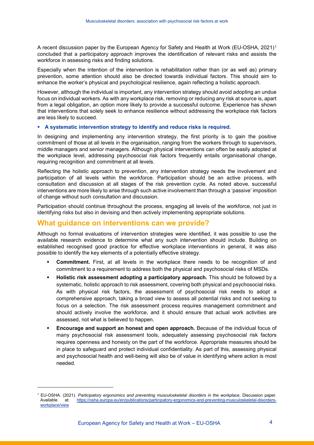A recent discussion paper by the European Agency for Safety and Health at Work (EU-OSHA, 2021)[1](#page-4-0) concluded that a participatory approach improves the identification of relevant risks and assists the workforce in assessing risks and finding solutions.

Especially when the intention of the intervention is rehabilitation rather than (or as well as) primary prevention, some attention should also be directed towards individual factors. This should aim to enhance the worker's physical and psychological resilience, again reflecting a holistic approach.

However, although the individual is important, any intervention strategy should avoid adopting an undue focus on individual workers. As with any workplace risk, removing or reducing any risk at source is, apart from a legal obligation, an option more likely to provide a successful outcome. Experience has shown that interventions that solely seek to enhance resilience without addressing the workplace risk factors are less likely to succeed.

#### **A systematic intervention strategy to identify and reduce risks is required.**

In designing and implementing any intervention strategy, the first priority is to gain the positive commitment of those at all levels in the organisation, ranging from the workers through to supervisors, middle managers and senior managers. Although physical interventions can often be easily adopted at the workplace level, addressing psychosocial risk factors frequently entails organisational change, requiring recognition and commitment at all levels.

Reflecting the holistic approach to prevention, any intervention strategy needs the involvement and participation of all levels within the workforce. Participation should be an active process, with consultation and discussion at all stages of the risk prevention cycle. As noted above, successful interventions are more likely to arise through such active involvement than through a 'passive' imposition of change without such consultation and discussion.

Participation should continue throughout the process, engaging all levels of the workforce, not just in identifying risks but also in devising and then actively implementing appropriate solutions.

## **What guidance on interventions can we provide?**

-

Although no formal evaluations of intervention strategies were identified, it was possible to use the available research evidence to determine what any such intervention should include. Building on established recognised good practice for effective workplace interventions in general, it was also possible to identify the key elements of a potentially effective strategy.

- **Commitment.** First, at all levels in the workplace there needs to be recognition of and commitment to a requirement to address both the physical and psychosocial risks of MSDs.
- **Holistic risk assessment adopting a participatory approach.** This should be followed by a systematic, holistic approach to risk assessment, covering both physical and psychosocial risks. As with physical risk factors, the assessment of psychosocial risk needs to adopt a comprehensive approach, taking a broad view to assess all potential risks and not seeking to focus on a selection. The risk assessment process requires management commitment and should actively involve the workforce, and it should ensure that actual work activities are assessed, not what is believed to happen.
- **Encourage and support an honest and open approach.** Because of the individual focus of many psychosocial risk assessment tools, adequately assessing psychosocial risk factors requires openness and honesty on the part of the workforce. Appropriate measures should be in place to safeguard and protect individual confidentiality. As part of this, assessing physical and psychosocial health and well-being will also be of value in identifying where action is most needed.

<span id="page-4-0"></span><sup>1</sup> EU-OSHA. (2021). *Participatory ergonomics and preventing musculoskeletal disorders in the workplace*. Discussion paper. at: [https://osha.europa.eu/en/publications/participatory-ergonomics-and-preventing-musculoskeletal-disorders](https://osha.europa.eu/en/publications/participatory-ergonomics-and-preventing-musculoskeletal-disorders-workplace/view)[workplace/view](https://osha.europa.eu/en/publications/participatory-ergonomics-and-preventing-musculoskeletal-disorders-workplace/view)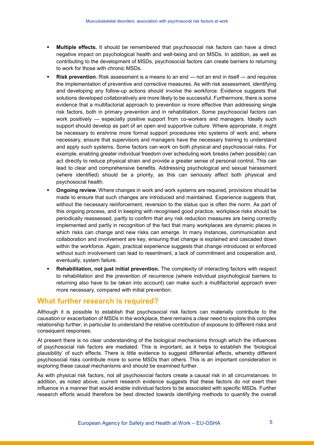- **Multiple effects.** It should be remembered that psychosocial risk factors can have a direct negative impact on psychological health and well-being and on MSDs. In addition, as well as contributing to the development of MSDs, psychosocial factors can create barriers to returning to work for those with chronic MSDs.
- **Risk prevention.** Risk assessment is a means to an end not an end in itself and requires the implementation of preventive and corrective measures. As with risk assessment, identifying and developing any follow-up actions should involve the workforce. Evidence suggests that solutions developed collaboratively are more likely to be successful. Furthermore, there is some evidence that a multifactorial approach to prevention is more effective than addressing single risk factors, both in primary prevention and in rehabilitation. Some psychosocial factors can work positively — especially positive support from co-workers and managers. Ideally such support should develop as part of an open and supportive culture. Where appropriate, it might be necessary to enshrine more formal support procedures into systems of work and, where necessary, ensure that supervisors and managers have the necessary training to understand and apply such systems. Some factors can work on both physical and psychosocial risks. For example, enabling greater individual freedom over scheduling work breaks (when possible) can act directly to reduce physical strain and provide a greater sense of personal control. This can lead to clear and comprehensive benefits. Addressing psychological and sexual harassment (where identified) should be a priority, as this can seriously affect both physical and psychosocial health.
- **Ongoing review.** Where changes in work and work systems are required, provisions should be made to ensure that such changes are introduced and maintained. Experience suggests that, without the necessary reinforcement, reversion to the status quo is often the norm. As part of this ongoing process, and in keeping with recognised good practice, workplace risks should be periodically reassessed, partly to confirm that any risk reduction measures are being correctly implemented and partly in recognition of the fact that many workplaces are dynamic places in which risks can change and new risks can emerge. In many instances, communication and collaboration and involvement are key, ensuring that change is explained and cascaded down within the workforce. Again, practical experience suggests that change introduced or enforced without such involvement can lead to resentment, a lack of commitment and cooperation and, eventually, system failure.
- **Rehabilitation, not just initial prevention.** The complexity of interacting factors with respect to rehabilitation and the prevention of recurrence (where individual psychological barriers to returning also have to be taken into account) can make such a multifactorial approach even more necessary, compared with initial prevention.

## **What further research is required?**

Although it is possible to establish that psychosocial risk factors can materially contribute to the causation or exacerbation of MSDs in the workplace, there remains a clear need to explore this complex relationship further, in particular to understand the relative contribution of exposure to different risks and consequent responses.

At present there is no clear understanding of the biological mechanisms through which the influences of psychosocial risk factors are mediated. This is important, as it helps to establish the 'biological plausibility' of such effects. There is little evidence to suggest differential effects, whereby different psychosocial risks contribute more to some MSDs than others. This is an important consideration in exploring these causal mechanisms and should be examined further.

As with physical risk factors, not all psychosocial factors create a causal risk in all circumstances. In addition, as noted above, current research evidence suggests that these factors do not exert their influence in a manner that would enable individual factors to be associated with specific MSDs. Further research efforts would therefore be best directed towards identifying methods to quantify the overall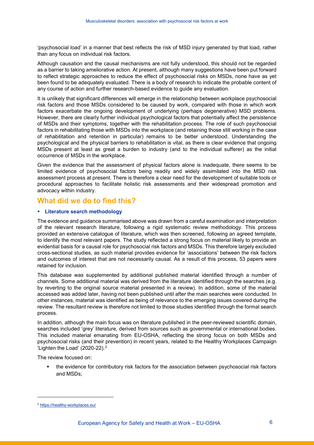'psychosocial load' in a manner that best reflects the risk of MSD injury generated by that load, rather than any focus on individual risk factors.

Although causation and the causal mechanisms are not fully understood, this should not be regarded as a barrier to taking ameliorative action. At present, although many suggestions have been put forward to reflect strategic approaches to reduce the effect of psychosocial risks on MSDs, none have as yet been found to be adequately evaluated. There is a body of research to indicate the probable content of any course of action and further research-based evidence to guide any evaluation.

It is unlikely that significant differences will emerge in the relationship between workplace psychosocial risk factors and those MSDs considered to be caused by work, compared with those in which work factors exacerbate the ongoing development of underlying (perhaps degenerative) MSD problems. However, there are clearly further individual psychological factors that potentially affect the persistence of MSDs and their symptoms, together with the rehabilitation process. The role of such psychosocial factors in rehabilitating those with MSDs into the workplace (and retaining those still working in the case of rehabilitation and retention in particular) remains to be better understood. Understanding the psychological and the physical barriers to rehabilitation is vital, as there is clear evidence that ongoing MSDs present at least as great a burden to industry (and to the individual sufferer) as the initial occurrence of MSDs in the workplace.

Given the evidence that the assessment of physical factors alone is inadequate, there seems to be limited evidence of psychosocial factors being readily and widely assimilated into the MSD risk assessment process at present. There is therefore a clear need for the development of suitable tools or procedural approaches to facilitate holistic risk assessments and their widespread promotion and advocacy within industry.

## **What did we do to find this?**

#### **Literature search methodology**

The evidence and guidance summarised above was drawn from a careful examination and interpretation of the relevant research literature, following a rigid systematic review methodology. This process provided an extensive catalogue of literature, which was then screened, following an agreed template, to identify the most relevant papers. The study reflected a strong focus on material likely to provide an evidential basis for a causal role for psychosocial risk factors and MSDs. This therefore largely excluded cross-sectional studies, as such material provides evidence for 'associations' between the risk factors and outcomes of interest that are not necessarily causal. As a result of this process, 53 papers were retained for inclusion.

This database was supplemented by additional published material identified through a number of channels. Some additional material was derived from the literature identified through the searches (e.g. by reverting to the original source material presented in a review). In addition, some of the material accessed was added later, having not been published until after the main searches were conducted. In other instances, material was identified as being of relevance to the emerging issues covered during the review. The resultant review is therefore not limited to those studies identified through the formal search process.

In addition, although the main focus was on literature published in the peer-reviewed scientific domain, searches included 'grey' literature, derived from sources such as governmental or international bodies. This included material emanating from EU-OSHA, reflecting the strong focus on both MSDs and psychosocial risks (and their prevention) in recent years, related to the Healthy Workplaces Campaign 'Lighten the Load'  $(2020-22).<sup>2</sup>$  $(2020-22).<sup>2</sup>$  $(2020-22).<sup>2</sup>$ 

The review focused on:

 the evidence for contributory risk factors for the association between psychosocial risk factors and MSDs;

-

<span id="page-6-0"></span><sup>2</sup> <https://healthy-workplaces.eu/>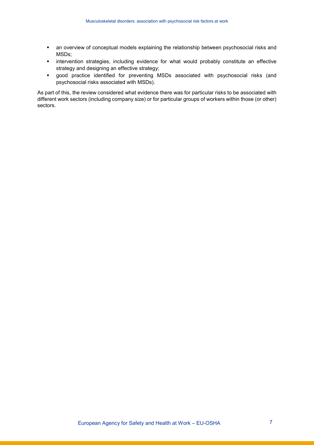- an overview of conceptual models explaining the relationship between psychosocial risks and MSDs;
- **EXEDENT Intervention strategies, including evidence for what would probably constitute an effective** strategy and designing an effective strategy;
- good practice identified for preventing MSDs associated with psychosocial risks (and psychosocial risks associated with MSDs).

As part of this, the review considered what evidence there was for particular risks to be associated with different work sectors (including company size) or for particular groups of workers within those (or other) sectors.